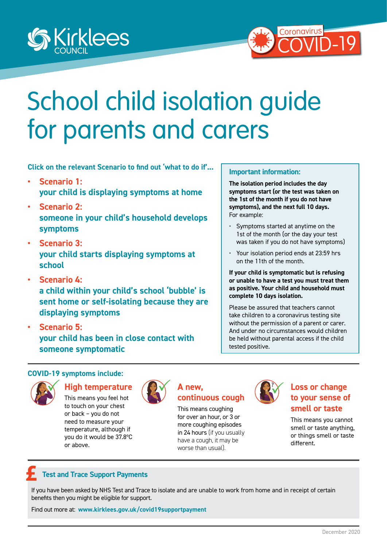<span id="page-0-0"></span>



# School child isolation guide for parents and carers

**Click on the relevant Scenario to find out 'what to do if'...** 

- **• [Scenario 1:](#page-1-0) [your child is displaying symptoms at home](#page-1-0)**
- **• [Scenario 2:](#page-2-0) someone in your child's household develops symptoms**
- **• [Scenario 3:](#page-3-0) [your child starts displaying symptoms at](#page-3-0)  [school](#page-3-0)**
- **• [Scenario 4:](#page-4-0) [a child within your child's school 'bubble' is](#page-4-0)  [sent home or self-isolating because they are](#page-4-0)  [displaying symptoms](#page-4-0)**
- **• [Scenario 5:](#page-5-0) [your child has been in close contact with](#page-5-0)  [someone symptomatic](#page-5-0)**

#### **Important information:**

**The isolation period includes the day symptoms start (or the test was taken on the 1st of the month if you do not have symptoms), and the next full 10 days.** For example:

- Symptoms started at anytime on the 1st of the month (or the day your test was taken if you do not have symptoms)
- Your isolation period ends at 23:59 hrs on the 11th of the month.

**If your child is symptomatic but is refusing or unable to have a test you must treat them as positive. Your child and household must complete 10 days isolation.**

Please be assured that teachers cannot take children to a coronavirus testing site without the permission of a parent or carer. And under no circumstances would children be held without parental access if the child tested positive.

#### **COVID-19 symptoms include:**



#### **High temperature**

This means you feel hot to touch on your chest or back – you do not need to measure your temperature, although if you do it would be 37.8ºC or above.



#### **A new, continuous cough**

This means coughing for over an hour, or 3 or more coughing episodes in 24 hours (if you usually have a cough, it may be worse than usual).



#### **Loss or change to your sense of smell or taste**

This means you cannot smell or taste anything, or things smell or taste different.

## **Test and Trace Support Payments**

If you have been asked by NHS Test and Trace to isolate and are unable to work from home and in receipt of certain benefits then you might be eligible for support.

Find out more at: **www.kirklees.gov.uk/covid19supportpayment**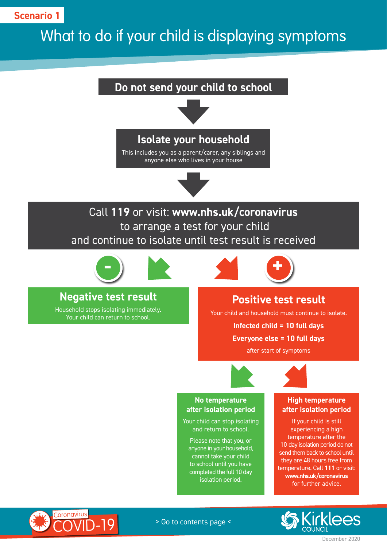<span id="page-1-0"></span>**Scenario 1**

## What to do if your child is displaying symptoms

## **Do not send your child to school**



## **Isolate your household**

This includes you as a parent/carer, any siblings and anyone else who lives in your house



## Call **119** or visit: **www.nhs.uk/coronavirus** to arrange a test for your child and continue to isolate until test result is received



## **Negative test result**

Household stops isolating immediately. Your child can return to school.



## **Positive test result**

Your child and household must continue to isolate.

**Infected child = 10 full days** 

#### **Everyone else = 10 full days**

after start of symptoms



#### **No temperature after isolation period**

Your child can stop isolating and return to school.

Please note that you, or anyone in your household, cannot take your child to school until you have completed the full 10 day isolation period.

#### **High temperature after isolation period**

If your child is still experiencing a high temperature after the 10 day isolation period do not send them back to school until they are 48 hours free from temperature. Call **111** or visit: **www.nhs.uk/coronavirus** for further advice.



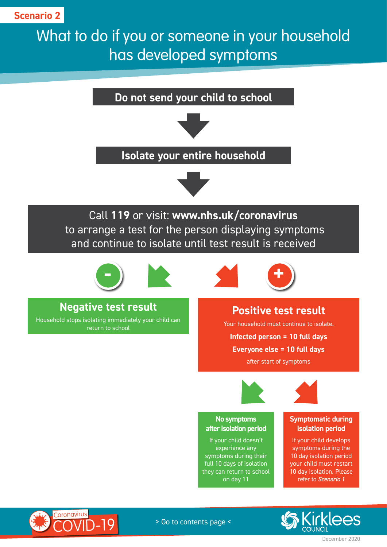## <span id="page-2-0"></span>What to do if you or someone in your household has developed symptoms

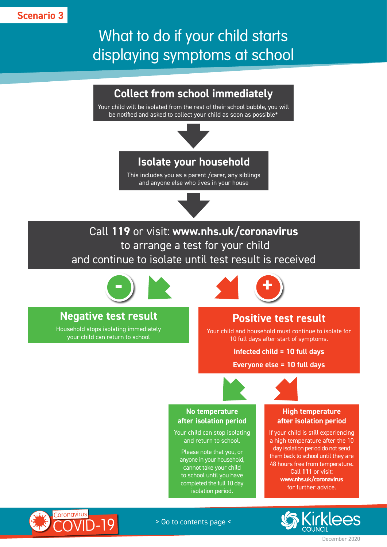<span id="page-3-0"></span>**Scenario 3**

## What to do if your child starts displaying symptoms at school

## **Collect from school immediately**

Your child will be isolated from the rest of their school bubble, you will be notified and asked to collect your child as soon as possible\*



## **Isolate your household**

This includes you as a parent /carer, any siblings and anyone else who lives in your house



Call **119** or visit: **www.nhs.uk/coronavirus** to arrange a test for your child and continue to isolate until test result is received



## **Negative test result**

Household stops isolating immediately your child can return to school



## **Positive test result**

Your child and household must continue to isolate for 10 full days after start of symptoms.

**Infected child = 10 full days** 

**Everyone else = 10 full days**



#### **No temperature after isolation period**

Your child can stop isolating and return to school.

Please note that you, or anyone in your household, cannot take your child to school until you have completed the full 10 day isolation period.

#### **High temperature after isolation period**

If your child is still experiencing a high temperature after the 10 day isolation period do not send them back to school until they are 48 hours free from temperature. Call **111** or visit: **www.nhs.uk/coronavirus** for further advice.



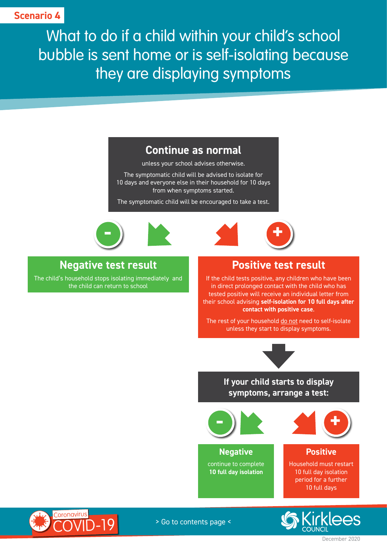<span id="page-4-0"></span>What to do if a child within your child's school bubble is sent home or is self-isolating because they are displaying symptoms

## **Continue as normal**

unless your school advises otherwise.

The symptomatic child will be advised to isolate for 10 days and everyone else in their household for 10 days from when symptoms started.

The symptomatic child will be encouraged to take a test.





## **Negative test result**

The child's household stops isolating immediately and the child can return to school

## **Positive test result**

**+**

If the child tests positive, any children who have been in direct prolonged contact with the child who has tested positive will receive an individual letter from their school advising **self-isolation for 10 full days after contact with positive case**.

The rest of your household do not need to self-isolate unless they start to display symptoms.



**If your child starts to display symptoms, arrange a test:**





**Negative** continue to complete **10 full day isolation**

#### **Positive**

Household must restart 10 full day isolation period for a further 10 full days



December 2020



> Go to contents page <